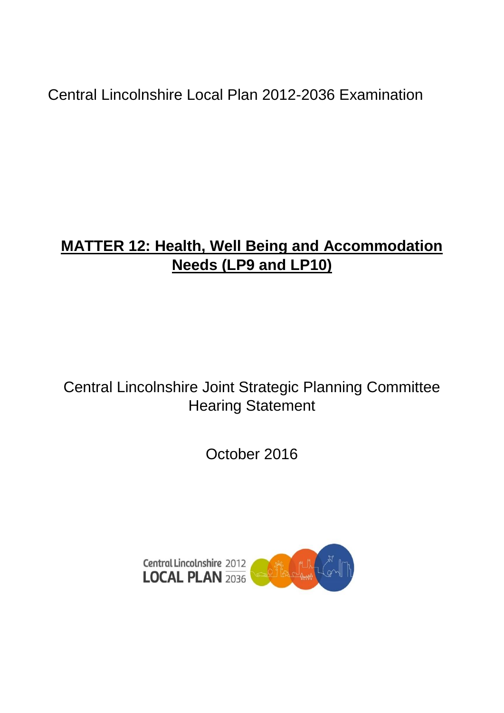Central Lincolnshire Local Plan 2012-2036 Examination

# **MATTER 12: Health, Well Being and Accommodation Needs (LP9 and LP10)**

## Central Lincolnshire Joint Strategic Planning Committee Hearing Statement

October 2016

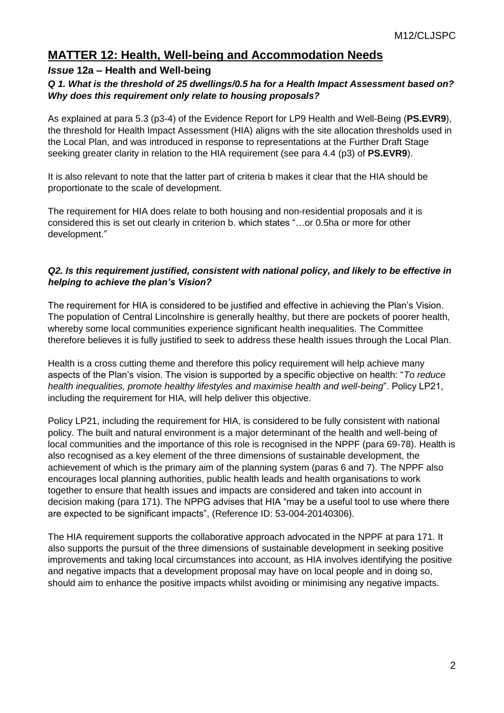### **MATTER 12: Health, Well-being and Accommodation Needs**

#### *Issue* **12a – Health and Well-being**

#### *Q 1. What is the threshold of 25 dwellings/0.5 ha for a Health Impact Assessment based on? Why does this requirement only relate to housing proposals?*

As explained at para 5.3 (p3-4) of the Evidence Report for LP9 Health and Well-Being (**PS.EVR9**), the threshold for Health Impact Assessment (HIA) aligns with the site allocation thresholds used in the Local Plan, and was introduced in response to representations at the Further Draft Stage seeking greater clarity in relation to the HIA requirement (see para 4.4 (p3) of **PS.EVR9**).

It is also relevant to note that the latter part of criteria b makes it clear that the HIA should be proportionate to the scale of development.

The requirement for HIA does relate to both housing and non-residential proposals and it is considered this is set out clearly in criterion b. which states "…or 0.5ha or more for other development."

#### *Q2. Is this requirement justified, consistent with national policy, and likely to be effective in helping to achieve the plan's Vision?*

The requirement for HIA is considered to be justified and effective in achieving the Plan's Vision. The population of Central Lincolnshire is generally healthy, but there are pockets of poorer health, whereby some local communities experience significant health inequalities. The Committee therefore believes it is fully justified to seek to address these health issues through the Local Plan.

Health is a cross cutting theme and therefore this policy requirement will help achieve many aspects of the Plan's vision. The vision is supported by a specific objective on health: "*To reduce health inequalities, promote healthy lifestyles and maximise health and well-being*". Policy LP21, including the requirement for HIA, will help deliver this objective.

Policy LP21, including the requirement for HIA, is considered to be fully consistent with national policy. The built and natural environment is a major determinant of the health and well-being of local communities and the importance of this role is recognised in the NPPF (para 69-78). Health is also recognised as a key element of the three dimensions of sustainable development, the achievement of which is the primary aim of the planning system (paras 6 and 7). The NPPF also encourages local planning authorities, public health leads and health organisations to work together to ensure that health issues and impacts are considered and taken into account in decision making (para 171). The NPPG advises that HIA "may be a useful tool to use where there are expected to be significant impacts", (Reference ID: 53-004-20140306).

The HIA requirement supports the collaborative approach advocated in the NPPF at para 171. It also supports the pursuit of the three dimensions of sustainable development in seeking positive improvements and taking local circumstances into account, as HIA involves identifying the positive and negative impacts that a development proposal may have on local people and in doing so, should aim to enhance the positive impacts whilst avoiding or minimising any negative impacts.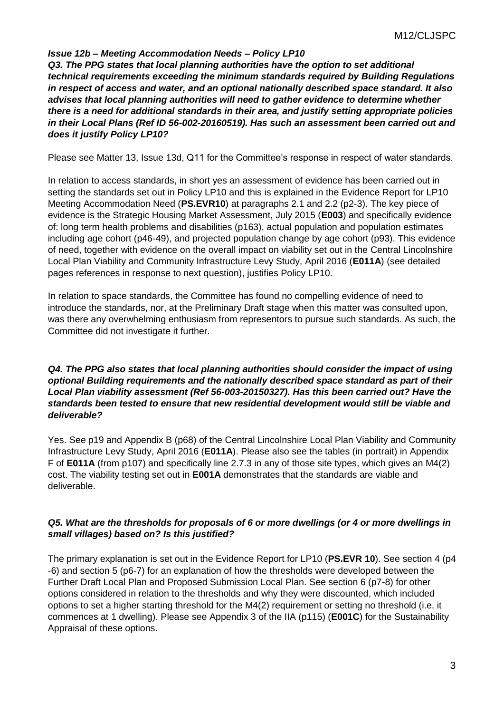#### *Issue 12b – Meeting Accommodation Needs – Policy LP10*

*Q3. The PPG states that local planning authorities have the option to set additional technical requirements exceeding the minimum standards required by Building Regulations in respect of access and water, and an optional nationally described space standard. It also advises that local planning authorities will need to gather evidence to determine whether there is a need for additional standards in their area, and justify setting appropriate policies in their Local Plans (Ref ID 56-002-20160519). Has such an assessment been carried out and does it justify Policy LP10?*

Please see Matter 13, Issue 13d, Q11 for the Committee's response in respect of water standards.

In relation to access standards, in short yes an assessment of evidence has been carried out in setting the standards set out in Policy LP10 and this is explained in the Evidence Report for LP10 Meeting Accommodation Need (**PS.EVR10**) at paragraphs 2.1 and 2.2 (p2-3). The key piece of evidence is the Strategic Housing Market Assessment, July 2015 (**E003**) and specifically evidence of: long term health problems and disabilities (p163), actual population and population estimates including age cohort (p46-49), and projected population change by age cohort (p93). This evidence of need, together with evidence on the overall impact on viability set out in the Central Lincolnshire Local Plan Viability and Community Infrastructure Levy Study, April 2016 (**E011A**) (see detailed pages references in response to next question), justifies Policy LP10.

In relation to space standards, the Committee has found no compelling evidence of need to introduce the standards, nor, at the Preliminary Draft stage when this matter was consulted upon, was there any overwhelming enthusiasm from representors to pursue such standards. As such, the Committee did not investigate it further.

#### *Q4. The PPG also states that local planning authorities should consider the impact of using optional Building requirements and the nationally described space standard as part of their Local Plan viability assessment (Ref 56-003-20150327). Has this been carried out? Have the standards been tested to ensure that new residential development would still be viable and deliverable?*

Yes. See p19 and Appendix B (p68) of the Central Lincolnshire Local Plan Viability and Community Infrastructure Levy Study, April 2016 (**E011A**). Please also see the tables (in portrait) in Appendix F of **E011A** (from p107) and specifically line 2.7.3 in any of those site types, which gives an M4(2) cost. The viability testing set out in **E001A** demonstrates that the standards are viable and deliverable.

#### *Q5. What are the thresholds for proposals of 6 or more dwellings (or 4 or more dwellings in small villages) based on? Is this justified?*

The primary explanation is set out in the Evidence Report for LP10 (**PS.EVR 10**). See section 4 (p4 -6) and section 5 (p6-7) for an explanation of how the thresholds were developed between the Further Draft Local Plan and Proposed Submission Local Plan. See section 6 (p7-8) for other options considered in relation to the thresholds and why they were discounted, which included options to set a higher starting threshold for the M4(2) requirement or setting no threshold (i.e. it commences at 1 dwelling). Please see Appendix 3 of the IIA (p115) (**E001C**) for the Sustainability Appraisal of these options.